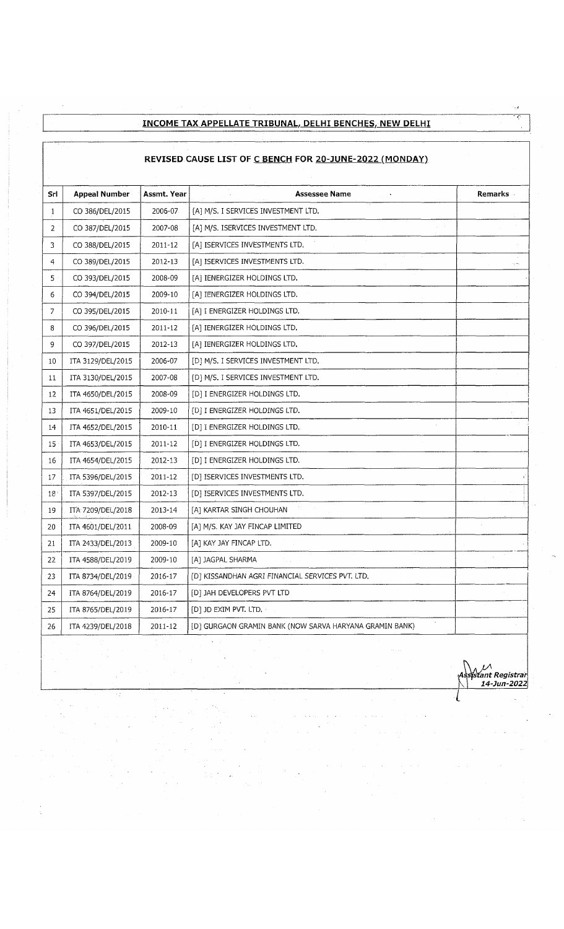## **INCOME TAX APPELLATE TRIBUNAL, DELHI BENCHES, NEW DELHI**

## **REVISED CAUSE LIST OF C BENCH FOR 20-JUNE-2022 (MONDAY)**

| Srl            | <b>Appeal Number</b> | Assmt. Year | Assessee Name                                           | Remarks |
|----------------|----------------------|-------------|---------------------------------------------------------|---------|
| 1              | CO 386/DEL/2015      | 2006-07     | [A] M/S. I SERVICES INVESTMENT LTD.                     |         |
| $\overline{2}$ | CO 387/DEL/2015      | 2007-08     | [A] M/S. ISERVICES INVESTMENT LTD.                      |         |
| 3              | CO 388/DEL/2015      | $2011 - 12$ | [A] ISERVICES INVESTMENTS LTD.                          |         |
| $\overline{4}$ | CO 389/DEL/2015      | 2012-13     | [A] ISERVICES INVESTMENTS LTD.                          |         |
| 5              | CO 393/DEL/2015      | 2008-09     | [A] IENERGIZER HOLDINGS LTD.                            |         |
| 6              | CO 394/DEL/2015      | 2009-10     | [A] IENERGIZER HOLDINGS LTD.                            |         |
| Ż              | CO 395/DEL/2015      | 2010-11     | [A] I ENERGIZER HOLDINGS LTD.                           |         |
| 8              | CO 396/DEL/2015      | 2011-12     | [A] IENERGIZER HOLDINGS LTD.                            |         |
| 9              | CO 397/DEL/2015      | 2012-13     | [A] IENERGIZER HOLDINGS LTD.                            |         |
| 10             | ITA 3129/DEL/2015    | 2006-07     | [D] M/S. I SERVICES INVESTMENT LTD.                     |         |
| 11             | ITA 3130/DEL/2015    | 2007-08     | [D] M/S. I SERVICES INVESTMENT LTD.                     |         |
| 12             | ITA 4650/DEL/2015    | 2008-09     | [D] I ENERGIZER HOLDINGS LTD.                           |         |
| 13             | ITA 4651/DEL/2015    | 2009-10     | [D] I ENERGIZER HOLDINGS LTD.                           |         |
| 14             | ITA 4652/DEL/2015    | 2010-11     | [D] I ENERGIZER HOLDINGS LTD.                           |         |
| 15             | ITA 4653/DEL/2015    | 2011-12     | [D] I ENERGIZER HOLDINGS LTD.                           |         |
| 16             | ITA 4654/DEL/2015    | 2012-13     | [D] I ENERGIZER HOLDINGS LTD.                           |         |
| 17             | ITA 5396/DEL/2015    | 2011-12     | [D] ISERVICES INVESTMENTS LTD.                          |         |
| 18             | ITA 5397/DEL/2015    | 2012-13     | [D] ISERVICES INVESTMENTS LTD.                          |         |
| 19             | ITA 7209/DEL/2018    | 2013-14     | [A] KARTAR SINGH CHOUHAN                                |         |
| 20             | ITA 4601/DEL/2011    | 2008-09     | [A] M/S. KAY JAY FINCAP LIMITED                         |         |
| 21             | ITA 2433/DEL/2013    | 2009-10     | [A] KAY JAY FINCAP LTD.                                 |         |
| 22             | ITA 4588/DEL/2019    | 2009-10     | [A] JAGPAL SHARMA                                       |         |
| 23             | ITA 8734/DEL/2019    | 2016-17     | [D] KISSANDHAN AGRI FINANCIAL SERVICES PVT. LTD.        |         |
| 24             | ITA 8764/DEL/2019    | 2016-17     | [D] JAH DEVELOPERS PVT LTD                              |         |
| 25             | ITA 8765/DEL/2019    | 2016-17     | [D] JD EXIM PVT. LTD.                                   |         |
| 26             | ITA 4239/DEL/2018    | 2011-12     | [D] GURGAON GRAMIN BANK (NOW SARVA HARYANA GRAMIN BANK) |         |

*Assfsfant Registrar* K l *14-Jun-2022*

Ł

 $\overline{a}$ Ź,